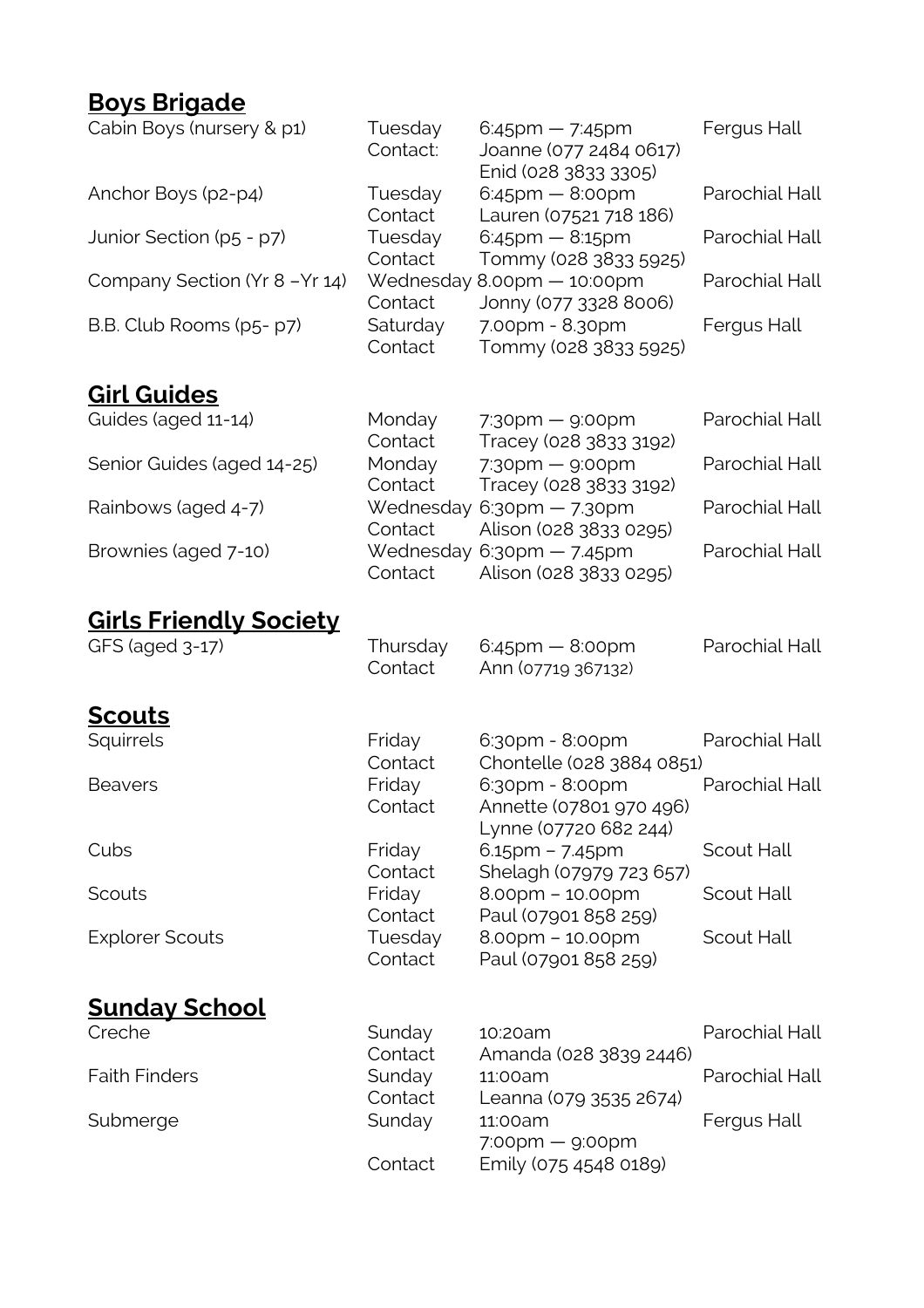## **Boys Brigade**

| Cabin Boys (nursery & p1)     | Tuesday<br>Contact:<br>Tuesday<br>Contact<br>Tuesday<br>Contact<br>Contact<br>Saturday<br>Contact | $6:45$ pm — 7:45pm<br>Joanne (077 2484 0617)<br>Enid (028 3833 3305)<br>$6:45$ pm $- 8:00$ pm<br>Lauren (07521 718 186)<br>$6:45$ pm $- 8:15$ pm<br>Tommy (028 3833 5925)<br>Wednesday 8.00pm - 10:00pm<br>Jonny (077 3328 8006)<br>7.00pm - 8.30pm<br>Tommy (028 3833 5925) | Fergus Hall    |
|-------------------------------|---------------------------------------------------------------------------------------------------|------------------------------------------------------------------------------------------------------------------------------------------------------------------------------------------------------------------------------------------------------------------------------|----------------|
| Anchor Boys (p2-p4)           |                                                                                                   |                                                                                                                                                                                                                                                                              | Parochial Hall |
| Junior Section (p5 - p7)      |                                                                                                   |                                                                                                                                                                                                                                                                              | Parochial Hall |
| Company Section (Yr 8-Yr 14)  |                                                                                                   |                                                                                                                                                                                                                                                                              | Parochial Hall |
| B.B. Club Rooms (p5- p7)      |                                                                                                   |                                                                                                                                                                                                                                                                              | Fergus Hall    |
| <b>Girl Guides</b>            |                                                                                                   |                                                                                                                                                                                                                                                                              |                |
| Guides (aged 11-14)           | Monday<br>Contact                                                                                 | $7:30$ pm — $9:00$ pm<br>Tracey (028 3833 3192)                                                                                                                                                                                                                              | Parochial Hall |
| Senior Guides (aged 14-25)    | Monday<br>Contact<br>Wednesday<br>Contact<br>Contact                                              | $7:30$ pm — $9:00$ pm<br>Tracey (028 3833 3192)<br>$6:30$ pm $-7.30$ pm<br>Alison (028 3833 0295)<br>Wednesday 6:30pm - 7.45pm<br>Alison (028 3833 0295)                                                                                                                     | Parochial Hall |
| Rainbows (aged 4-7)           |                                                                                                   |                                                                                                                                                                                                                                                                              | Parochial Hall |
| Brownies (aged 7-10)          |                                                                                                   |                                                                                                                                                                                                                                                                              | Parochial Hall |
| <u>Girls Friendly Society</u> |                                                                                                   |                                                                                                                                                                                                                                                                              |                |
| GFS (aged 3-17)               | Thursday<br>Contact                                                                               | $6:45$ pm $-8:00$ pm<br>Ann (07719 367132)                                                                                                                                                                                                                                   | Parochial Hall |
| <b>Scouts</b>                 |                                                                                                   |                                                                                                                                                                                                                                                                              |                |
| Squirrels                     | Friday<br>Contact                                                                                 | 6:30pm - 8:00pm<br>Chontelle (028 3884 0851)                                                                                                                                                                                                                                 | Parochial Hall |
| <b>Beavers</b>                | Friday<br>Contact                                                                                 | 6:30pm - 8:00pm<br>Annette (07801 970 496)<br>Lynne (07720 682 244)<br>$6.15$ pm – 7.45pm<br>Shelagh (07979 723 657)                                                                                                                                                         | Parochial Hall |
| Cubs                          | Friday<br>Contact                                                                                 |                                                                                                                                                                                                                                                                              | Scout Hall     |
| Scouts                        | Friday<br>Contact                                                                                 | $8.00$ pm – 10.00pm<br>Paul (07901 858 259)                                                                                                                                                                                                                                  | Scout Hall     |
| <b>Explorer Scouts</b>        | Tuesday<br>Contact                                                                                | $8.00$ pm – 10.00pm<br>Paul (07901 858 259)                                                                                                                                                                                                                                  | Scout Hall     |
| <u>Sunday School</u>          |                                                                                                   |                                                                                                                                                                                                                                                                              |                |
| Creche                        | Sunday<br>Contact                                                                                 | 10:20am                                                                                                                                                                                                                                                                      | Parochial Hall |
| <b>Faith Finders</b>          | Sunday<br>Contact                                                                                 | Amanda (028 3839 2446)<br>11:00am<br>Leanna (079 3535 2674)                                                                                                                                                                                                                  | Parochial Hall |
| Submerge                      | Sunday                                                                                            | 11:00am<br>$7:00$ pm — $9:00$ pm                                                                                                                                                                                                                                             | Fergus Hall    |
|                               | Contact                                                                                           | Emily (075 4548 0189)                                                                                                                                                                                                                                                        |                |